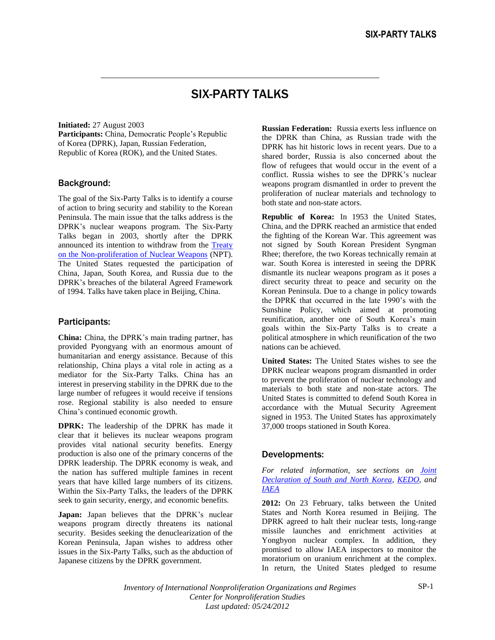## SIX-PARTY TALKS

**Initiated:** 27 August 2003 **Participants:** China, Democratic People's Republic of Korea (DPRK), Japan, Russian Federation, Republic of Korea (ROK), and the United States.

## Background:

The goal of the Six-Party Talks is to identify a course of action to bring security and stability to the Korean Peninsula. The main issue that the talks address is the DPRK's nuclear weapons program. The Six-Party Talks began in 2003, shortly after the DPRK announced its intention to withdraw from the [Treaty](npt.pdf)  on [the Non-proliferation of Nuclear Weapons](npt.pdf) (NPT). The United States requested the participation of China, Japan, South Korea, and Russia due to the DPRK's breaches of the bilateral Agreed Framework of 1994. Talks have taken place in Beijing, China.

## Participants:

**China:** China, the DPRK's main trading partner, has provided Pyongyang with an enormous amount of humanitarian and energy assistance. Because of this relationship, China plays a vital role in acting as a mediator for the Six-Party Talks. China has an interest in preserving stability in the DPRK due to the large number of refugees it would receive if tensions rose. Regional stability is also needed to ensure China's continued economic growth.

**DPRK:** The leadership of the DPRK has made it clear that it believes its nuclear weapons program provides vital national security benefits. Energy production is also one of the primary concerns of the DPRK leadership. The DPRK economy is weak, and the nation has suffered multiple famines in recent years that have killed large numbers of its citizens. Within the Six-Party Talks, the leaders of the DPRK seek to gain security, energy, and economic benefits.

Japan: Japan believes that the DPRK's nuclear weapons program directly threatens its national security. Besides seeking the denuclearization of the Korean Peninsula, Japan wishes to address other issues in the Six-Party Talks, such as the abduction of Japanese citizens by the DPRK government.

**Russian Federation:** Russia exerts less influence on the DPRK than China, as Russian trade with the DPRK has hit historic lows in recent years. Due to a shared border, Russia is also concerned about the flow of refugees that would occur in the event of a conflict. Russia wishes to see the DPRK's nuclear weapons program dismantled in order to prevent the proliferation of nuclear materials and technology to both state and non-state actors.

**Republic of Korea:** In 1953 the United States, China, and the DPRK reached an armistice that ended the fighting of the Korean War. This agreement was not signed by South Korean President Syngman Rhee; therefore, the two Koreas technically remain at war. South Korea is interested in seeing the DPRK dismantle its nuclear weapons program as it poses a direct security threat to peace and security on the Korean Peninsula. Due to a change in policy towards the DPRK that occurred in the late 1990's with the Sunshine Policy, which aimed at promoting reunification, another one of South Korea's main goals within the Six-Party Talks is to create a political atmosphere in which reunification of the two nations can be achieved.

**United States:** The United States wishes to see the DPRK nuclear weapons program dismantled in order to prevent the proliferation of nuclear technology and materials to both state and non-state actors. The United States is committed to defend South Korea in accordance with the Mutual Security Agreement signed in 1953. The United States has approximately 37,000 troops stationed in South Korea.

## Developments:

*For related information, see sections on [Joint](koreanuc.doc)  [Declaration of South and North Korea,](koreanuc.doc) [KEDO,](../../Organizations%20and%20Regimes/Regional/kedo.doc) and [IAEA](../../Organizations%20and%20Regimes/International%20organizations/IAEA/iaea_overview.doc)*

**2012:** On 23 February, talks between the United States and North Korea resumed in Beijing. The DPRK agreed to halt their nuclear tests, long-range missile launches and enrichment activities at Yongbyon nuclear complex. In addition, they promised to allow IAEA inspectors to monitor the moratorium on uranium enrichment at the complex. In return, the United States pledged to resume

*Inventory of International Nonproliferation Organizations and Regimes Center for Nonproliferation Studies Last updated: 05/24/2012*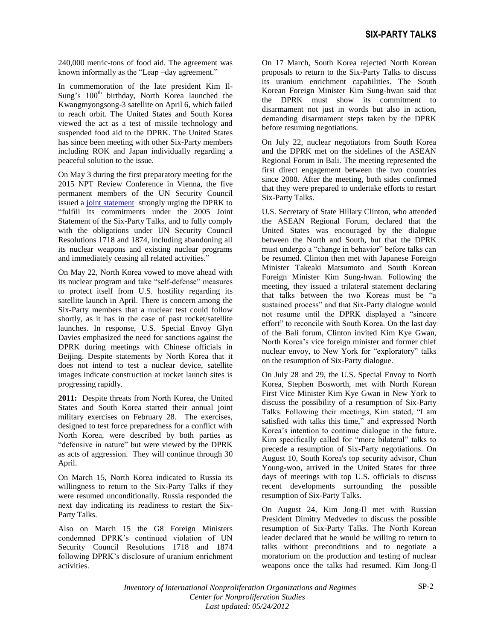240,000 metric-tons of food aid. The agreement was known informally as the "Leap –day agreement."

In commemoration of the late president Kim Il-Sung's  $100<sup>th</sup>$  birthday, North Korea launched the Kwangmyongsong-3 satellite on April 6, which failed to reach orbit. The United States and South Korea viewed the act as a test of missile technology and suspended food aid to the DPRK. The United States has since been meeting with other Six-Party members including ROK and Japan individually regarding a peaceful solution to the issue.

On May 3 during the first preparatory meeting for the 2015 NPT Review Conference in Vienna, the five permanent members of the UN Security Council issued a [joint statement](http://www.reachingcriticalwill.org/images/documents/Disarmament-fora/npt/prepcom12/statements/3May_NWS.pdf) strongly urging the DPRK to "fulfill its commitments under the 2005 Joint Statement of the Six-Party Talks, and to fully comply with the obligations under UN Security Council Resolutions 1718 and 1874, including abandoning all its nuclear weapons and existing nuclear programs and immediately ceasing all related activities."

On May 22, North Korea vowed to move ahead with its nuclear program and take "self-defense" measures to protect itself from U.S. hostility regarding its satellite launch in April. There is concern among the Six-Party members that a nuclear test could follow shortly, as it has in the case of past rocket/satellite launches. In response, U.S. Special Envoy Glyn Davies emphasized the need for sanctions against the DPRK during meetings with Chinese officials in Beijing. Despite statements by North Korea that it does not intend to test a nuclear device, satellite images indicate construction at rocket launch sites is progressing rapidly.

**2011:** Despite threats from North Korea, the United States and South Korea started their annual joint military exercises on February 28. The exercises, designed to test force preparedness for a conflict with North Korea, were described by both parties as "defensive in nature" but were viewed by the DPRK as acts of aggression. They will continue through 30 April.

On March 15, North Korea indicated to Russia its willingness to return to the Six-Party Talks if they were resumed unconditionally. Russia responded the next day indicating its readiness to restart the Six-Party Talks.

Also on March 15 the G8 Foreign Ministers condemned DPRK's continued violation of UN Security Council Resolutions 1718 and 1874 following DPRK's disclosure of uranium enrichment activities.

On 17 March, South Korea rejected North Korean proposals to return to the Six-Party Talks to discuss its uranium enrichment capabilities. The South Korean Foreign Minister Kim Sung-hwan said that the DPRK must show its commitment to disarmament not just in words but also in action, demanding disarmament steps taken by the DPRK before resuming negotiations.

On July 22, nuclear negotiators from South Korea and the DPRK met on the sidelines of the ASEAN Regional Forum in Bali. The meeting represented the first direct engagement between the two countries since 2008. After the meeting, both sides confirmed that they were prepared to undertake efforts to restart Six-Party Talks.

U.S. Secretary of State Hillary Clinton, who attended the ASEAN Regional Forum, declared that the United States was encouraged by the dialogue between the North and South, but that the DPRK must undergo a "change in behavior" before talks can be resumed. Clinton then met with Japanese Foreign Minister Takeaki Matsumoto and South Korean Foreign Minister Kim Sung-hwan. Following the meeting, they issued a trilateral statement declaring that talks between the two Koreas must be "a sustained process" and that Six-Party dialogue would not resume until the DPRK displayed a "sincere effort" to reconcile with South Korea. On the last day of the Bali forum, Clinton invited Kim Kye Gwan, North Korea's vice foreign minister and former chief nuclear envoy, to New York for "exploratory" talks on the resumption of Six-Party dialogue.

On July 28 and 29, the U.S. Special Envoy to North Korea, Stephen Bosworth, met with North Korean First Vice Minister Kim Kye Gwan in New York to discuss the possibility of a resumption of Six-Party Talks. Following their meetings, Kim stated, "I am satisfied with talks this time," and expressed North Korea's intention to continue dialogue in the future. Kim specifically called for "more bilateral" talks to precede a resumption of Six-Party negotiations. On August 10, South Korea's top security advisor, Chun Young-woo, arrived in the United States for three days of meetings with top U.S. officials to discuss recent developments surrounding the possible resumption of Six-Party Talks.

On August 24, Kim Jong-Il met with Russian President Dimitry Medvedev to discuss the possible resumption of Six-Party Talks. The North Korean leader declared that he would be willing to return to talks without preconditions and to negotiate a moratorium on the production and testing of nuclear weapons once the talks had resumed. Kim Jong-Il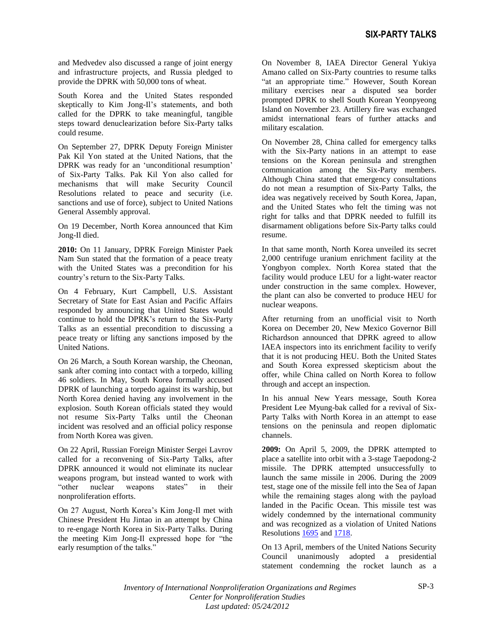and Medvedev also discussed a range of joint energy and infrastructure projects, and Russia pledged to provide the DPRK with 50,000 tons of wheat.

South Korea and the United States responded skeptically to Kim Jong-Il's statements, and both called for the DPRK to take meaningful, tangible steps toward denuclearization before Six-Party talks could resume.

On September 27, DPRK Deputy Foreign Minister Pak Kil Yon stated at the United Nations, that the DPRK was ready for an 'unconditional resumption' of Six-Party Talks. Pak Kil Yon also called for mechanisms that will make Security Council Resolutions related to peace and security (i.e. sanctions and use of force), subject to United Nations General Assembly approval.

On 19 December, North Korea announced that Kim Jong-Il died.

**2010:** On 11 January, DPRK Foreign Minister Paek Nam Sun stated that the formation of a peace treaty with the United States was a precondition for his country's return to the Six-Party Talks.

On 4 February, Kurt Campbell, U.S. Assistant Secretary of State for East Asian and Pacific Affairs responded by announcing that United States would continue to hold the DPRK's return to the Six-Party Talks as an essential precondition to discussing a peace treaty or lifting any sanctions imposed by the United Nations.

On 26 March, a South Korean warship, the Cheonan, sank after coming into contact with a torpedo, killing 46 soldiers. In May, South Korea formally accused DPRK of launching a torpedo against its warship, but North Korea denied having any involvement in the explosion. South Korean officials stated they would not resume Six-Party Talks until the Cheonan incident was resolved and an official policy response from North Korea was given.

On 22 April, Russian Foreign Minister Sergei Lavrov called for a reconvening of Six-Party Talks, after DPRK announced it would not eliminate its nuclear weapons program, but instead wanted to work with "other nuclear weapons states" in their nonproliferation efforts.

On 27 August, North Korea's Kim Jong-Il met with Chinese President Hu Jintao in an attempt by China to re-engage North Korea in Six-Party Talks. During the meeting Kim Jong-Il expressed hope for "the early resumption of the talks."

On November 8, IAEA Director General Yukiya Amano called on Six-Party countries to resume talks "at an appropriate time." However, South Korean military exercises near a disputed sea border prompted DPRK to shell South Korean Yeonpyeong Island on November 23. Artillery fire was exchanged amidst international fears of further attacks and military escalation.

On November 28, China called for emergency talks with the Six-Party nations in an attempt to ease tensions on the Korean peninsula and strengthen communication among the Six-Party members. Although China stated that emergency consultations do not mean a resumption of Six-Party Talks, the idea was negatively received by South Korea, Japan, and the United States who felt the timing was not right for talks and that DPRK needed to fulfill its disarmament obligations before Six-Party talks could resume.

In that same month, North Korea unveiled its secret 2,000 centrifuge uranium enrichment facility at the Yongbyon complex. North Korea stated that the facility would produce LEU for a light-water reactor under construction in the same complex. However, the plant can also be converted to produce HEU for nuclear weapons.

After returning from an unofficial visit to North Korea on December 20, New Mexico Governor Bill Richardson announced that DPRK agreed to allow IAEA inspectors into its enrichment facility to verify that it is not producing HEU. Both the United States and South Korea expressed skepticism about the offer, while China called on North Korea to follow through and accept an inspection.

In his annual New Years message, South Korea President Lee Myung-bak called for a revival of Six-Party Talks with North Korea in an attempt to ease tensions on the peninsula and reopen diplomatic channels.

**2009:** On April 5, 2009, the DPRK attempted to place a satellite into orbit with a 3-stage Taepodong-2 missile. The DPRK attempted unsuccessfully to launch the same missile in 2006. During the 2009 test, stage one of the missile fell into the Sea of Japan while the remaining stages along with the payload landed in the Pacific Ocean. This missile test was widely condemned by the international community and was recognized as a violation of United Nations Resolution[s 1695](http://www.un.org/News/Press/docs/2006/sc8778.doc.htm) and [1718.](http://www.un.org/sc/committees/1718/resolutions.shtml)

On 13 April, members of the United Nations Security Council unanimously adopted a presidential statement condemning the rocket launch as a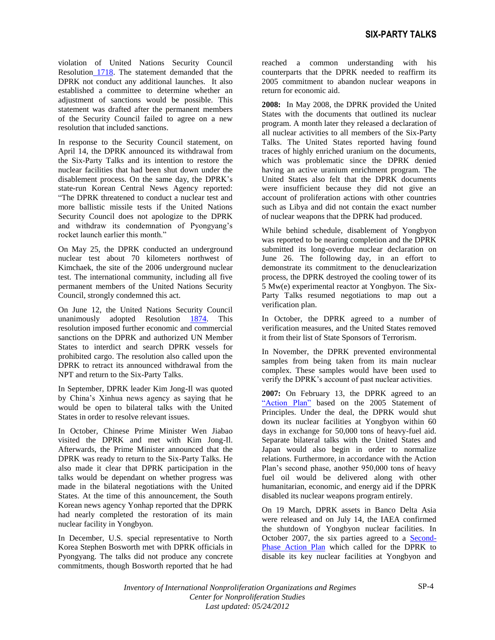violation of United Nations Security Council Resolution [1718.](http://www.un.org/sc/committees/1718/resolutions.shtml) The statement demanded that the DPRK not conduct any additional launches. It also established a committee to determine whether an adjustment of sanctions would be possible. This statement was drafted after the permanent members of the Security Council failed to agree on a new resolution that included sanctions.

In response to the Security Council statement, on April 14, the DPRK announced its withdrawal from the Six-Party Talks and its intention to restore the nuclear facilities that had been shut down under the disablement process. On the same day, the DPRK's state-run Korean Central News Agency reported: "The DPRK threatened to conduct a nuclear test and more ballistic missile tests if the United Nations Security Council does not apologize to the DPRK and withdraw its condemnation of Pyongyang's rocket launch earlier this month."

On May 25, the DPRK conducted an underground nuclear test about 70 kilometers northwest of Kimchaek, the site of the 2006 underground nuclear test. The international community, including all five permanent members of the United Nations Security Council, strongly condemned this act.

On June 12, the United Nations Security Council unanimously adopted Resolution [1874.](http://www.un.org/News/Press/docs/2009/sc9679.doc.htm) This resolution imposed further economic and commercial sanctions on the DPRK and authorized UN Member States to interdict and search DPRK vessels for prohibited cargo. The resolution also called upon the DPRK to retract its announced withdrawal from the NPT and return to the Six-Party Talks.

In September, DPRK leader Kim Jong-Il was quoted by China's Xinhua news agency as saying that he would be open to bilateral talks with the United States in order to resolve relevant issues.

In October, Chinese Prime Minister Wen Jiabao visited the DPRK and met with Kim Jong-Il. Afterwards, the Prime Minister announced that the DPRK was ready to return to the Six-Party Talks. He also made it clear that DPRK participation in the talks would be dependant on whether progress was made in the bilateral negotiations with the United States. At the time of this announcement, the South Korean news agency Yonhap reported that the DPRK had nearly completed the restoration of its main nuclear facility in Yongbyon.

In December, U.S. special representative to North Korea Stephen Bosworth met with DPRK officials in Pyongyang. The talks did not produce any concrete commitments, though Bosworth reported that he had reached a common understanding with his counterparts that the DPRK needed to reaffirm its 2005 commitment to abandon nuclear weapons in return for economic aid.

**2008:** In May 2008, the DPRK provided the United States with the documents that outlined its nuclear program. A month later they released a declaration of all nuclear activities to all members of the Six-Party Talks. The United States reported having found traces of highly enriched uranium on the documents, which was problematic since the DPRK denied having an active uranium enrichment program. The United States also felt that the DPRK documents were insufficient because they did not give an account of proliferation actions with other countries such as Libya and did not contain the exact number of nuclear weapons that the DPRK had produced.

While behind schedule, disablement of Yongbyon was reported to be nearing completion and the DPRK submitted its long-overdue nuclear declaration on June 26. The following day, in an effort to demonstrate its commitment to the denuclearization process, the DPRK destroyed the cooling tower of its 5 Mw(e) experimental reactor at Yongbyon. The Six-Party Talks resumed negotiations to map out a verification plan.

In October, the DPRK agreed to a number of verification measures, and the United States removed it from their list of State Sponsors of Terrorism.

In November, the DPRK prevented environmental samples from being taken from its main nuclear complex. These samples would have been used to verify the DPRK's account of past nuclear activities.

**2007:** On February 13, the DPRK agreed to an ["Action Plan"](http://www.fmprc.gov.cn/eng/zxxx/t297463.htm) based on the 2005 Statement of Principles. Under the deal, the DPRK would shut down its nuclear facilities at Yongbyon within 60 days in exchange for 50,000 tons of heavy-fuel aid. Separate bilateral talks with the United States and Japan would also begin in order to normalize relations. Furthermore, in accordance with the Action Plan's second phase, another 950,000 tons of heavy fuel oil would be delivered along with other humanitarian, economic, and energy aid if the DPRK disabled its nuclear weapons program entirely.

On 19 March, DPRK assets in Banco Delta Asia were released and on July 14, the IAEA confirmed the shutdown of Yongbyon nuclear facilities. In October 2007, the six parties agreed to a [Second-](http://www.ncnk.org/resources/publications/Second_Phase_Actions_Oct_07.doc/file_view)[Phase Action Plan](http://www.ncnk.org/resources/publications/Second_Phase_Actions_Oct_07.doc/file_view) which called for the DPRK to disable its key nuclear facilities at Yongbyon and

*Inventory of International Nonproliferation Organizations and Regimes Center for Nonproliferation Studies Last updated: 05/24/2012*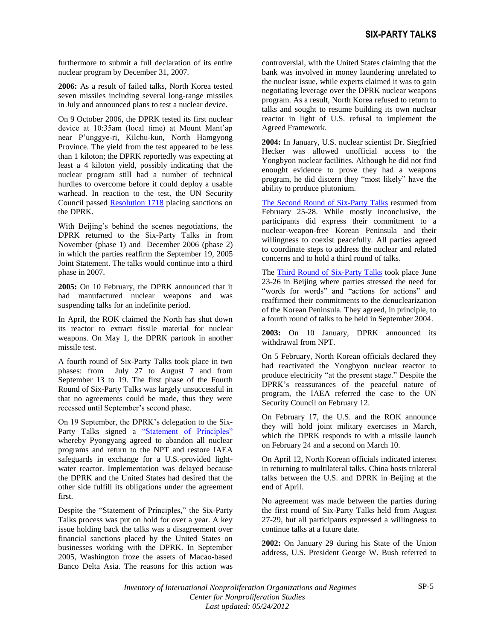furthermore to submit a full declaration of its entire nuclear program by December 31, 2007.

**2006:** As a result of failed talks, North Korea tested seven missiles including several long-range missiles in July and announced plans to test a nuclear device.

On 9 October 2006, the DPRK tested its first nuclear device at 10:35am (local time) at Mount Mant'ap near P'unggye-ri, Kilchu-kun, North Hamgyong Province. The yield from the test appeared to be less than 1 kiloton; the DPRK reportedly was expecting at least a 4 kiloton yield, possibly indicating that the nuclear program still had a number of technical hurdles to overcome before it could deploy a usable warhead. In reaction to the test, the UN Security Council passed [Resolution 1718](http://www.un.org/sc/committees/1718/resolutions.shtml) placing sanctions on the DPRK.

With Beijing's behind the scenes negotiations, the DPRK returned to the Six-Party Talks in from November (phase 1) and December 2006 (phase 2) in which the parties reaffirm the September 19, 2005 Joint Statement. The talks would continue into a third phase in 2007.

**2005:** On 10 February, the DPRK announced that it had manufactured nuclear weapons and was suspending talks for an indefinite period.

In April, the ROK claimed the North has shut down its reactor to extract fissile material for nuclear weapons. On May 1, the DPRK partook in another missile test.

A fourth round of Six-Party Talks took place in two phases: from July 27 to August 7 and from September 13 to 19. The first phase of the Fourth Round of Six-Party Talks was largely unsuccessful in that no agreements could be made, thus they were recessed until September's second phase.

On 19 September, the DPRK's delegation to the Six-Party Talks signed a ["Statement of Principles"](http://www.ncnk.org/resources/publications/September_19_2005_Joint_Statement.doc/file_view) whereby Pyongyang agreed to abandon all nuclear programs and return to the NPT and restore IAEA safeguards in exchange for a U.S.-provided lightwater reactor. Implementation was delayed because the DPRK and the United States had desired that the other side fulfill its obligations under the agreement first.

Despite the "Statement of Principles," the Six-Party Talks process was put on hold for over a year. A key issue holding back the talks was a disagreement over financial sanctions placed by the United States on businesses working with the DPRK. In September 2005, Washington froze the assets of Macao-based Banco Delta Asia. The reasons for this action was controversial, with the United States claiming that the bank was involved in money laundering unrelated to the nuclear issue, while experts claimed it was to gain negotiating leverage over the DPRK nuclear weapons program. As a result, North Korea refused to return to talks and sought to resume building its own nuclear reactor in light of U.S. refusal to implement the Agreed Framework.

**2004:** In January, U.S. nuclear scientist Dr. Siegfried Hecker was allowed unofficial access to the Yongbyon nuclear facilities. Although he did not find enought evidence to prove they had a weapons program, he did discern they "most likely" have the ability to produce plutonium.

The Second Round [of Six-Party Talks](http://www.ncnk.org/resources/publications/ChairmanStatement_2ndRound_Sixparty.doc/file_view) resumed from February 25-28. While mostly inconclusive, the participants did express their commitment to a nuclear-weapon-free Korean Peninsula and their willingness to coexist peacefully. All parties agreed to coordinate steps to address the nuclear and related concerns and to hold a third round of talks.

The [Third Round of Six-Party Talks](http://www.ncnk.org/resources/publications/ChairmanStatement_3rdRound_SixParty.doc/file_view) took place June 23-26 in Beijing where parties stressed the need for "words for words" and "actions for actions" and reaffirmed their commitments to the denuclearization of the Korean Peninsula. They agreed, in principle, to a fourth round of talks to be held in September 2004.

**2003:** On 10 January, DPRK announced its withdrawal from NPT

On 5 February, North Korean officials declared they had reactivated the Yongbyon nuclear reactor to produce electricity "at the present stage." Despite the DPRK's reassurances of the peaceful nature of program, the IAEA referred the case to the UN Security Council on February 12.

On February 17, the U.S. and the ROK announce they will hold joint military exercises in March, which the DPRK responds to with a missile launch on February 24 and a second on March 10.

On April 12, North Korean officials indicated interest in returning to multilateral talks. China hosts trilateral talks between the U.S. and DPRK in Beijing at the end of April.

No agreement was made between the parties during the first round of Six-Party Talks held from August 27-29, but all participants expressed a willingness to continue talks at a future date.

**2002:** On January 29 during his State of the Union address, U.S. President George W. Bush referred to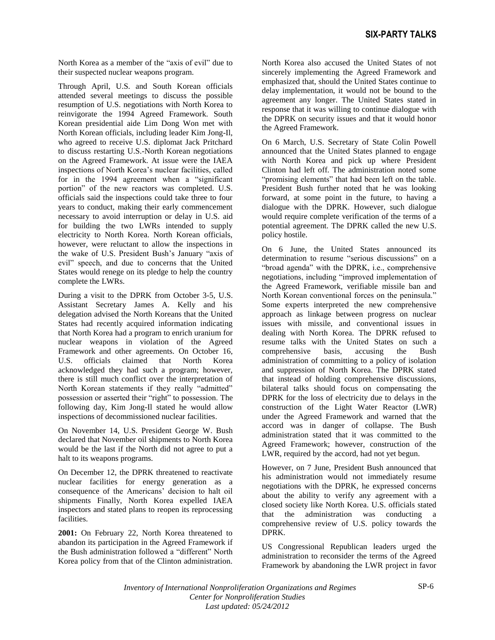North Korea as a member of the "axis of evil" due to their suspected nuclear weapons program.

Through April, U.S. and South Korean officials attended several meetings to discuss the possible resumption of U.S. negotiations with North Korea to reinvigorate the 1994 Agreed Framework. South Korean presidential aide Lim Dong Won met with North Korean officials, including leader Kim Jong-Il, who agreed to receive U.S. diplomat Jack Pritchard to discuss restarting U.S.-North Korean negotiations on the Agreed Framework. At issue were the IAEA inspections of North Korea's nuclear facilities, called for in the 1994 agreement when a "significant portion" of the new reactors was completed. U.S. officials said the inspections could take three to four years to conduct, making their early commencement necessary to avoid interruption or delay in U.S. aid for building the two LWRs intended to supply electricity to North Korea. North Korean officials, however, were reluctant to allow the inspections in the wake of U.S. President Bush's January "axis of evil" speech, and due to concerns that the United States would renege on its pledge to help the country complete the LWRs.

During a visit to the DPRK from October 3-5, U.S. Assistant Secretary James A. Kelly and his delegation advised the North Koreans that the United States had recently acquired information indicating that North Korea had a program to enrich uranium for nuclear weapons in violation of the Agreed Framework and other agreements. On October 16, U.S. officials claimed that North Korea acknowledged they had such a program; however, there is still much conflict over the interpretation of North Korean statements if they really "admitted" possession or asserted their "right" to possession. The following day, Kim Jong-Il stated he would allow inspections of decommissioned nuclear facilities.

On November 14, U.S. President George W. Bush declared that November oil shipments to North Korea would be the last if the North did not agree to put a halt to its weapons programs.

On December 12, the DPRK threatened to reactivate nuclear facilities for energy generation as a consequence of the Americans' decision to halt oil shipments Finally, North Korea expelled IAEA inspectors and stated plans to reopen its reprocessing facilities.

**2001:** On February 22, North Korea threatened to abandon its participation in the Agreed Framework if the Bush administration followed a "different" North Korea policy from that of the Clinton administration.

North Korea also accused the United States of not sincerely implementing the Agreed Framework and emphasized that, should the United States continue to delay implementation, it would not be bound to the agreement any longer. The United States stated in response that it was willing to continue dialogue with the DPRK on security issues and that it would honor the Agreed Framework.

On 6 March, U.S. Secretary of State Colin Powell announced that the United States planned to engage with North Korea and pick up where President Clinton had left off. The administration noted some "promising elements" that had been left on the table. President Bush further noted that he was looking forward, at some point in the future, to having a dialogue with the DPRK. However, such dialogue would require complete verification of the terms of a potential agreement. The DPRK called the new U.S. policy hostile.

On 6 June, the United States announced its determination to resume "serious discussions" on a "broad agenda" with the DPRK, i.e., comprehensive negotiations, including "improved implementation of the Agreed Framework, verifiable missile ban and North Korean conventional forces on the peninsula." Some experts interpreted the new comprehensive approach as linkage between progress on nuclear issues with missile, and conventional issues in dealing with North Korea. The DPRK refused to resume talks with the United States on such a comprehensive basis, accusing the Bush administration of committing to a policy of isolation and suppression of North Korea. The DPRK stated that instead of holding comprehensive discussions, bilateral talks should focus on compensating the DPRK for the loss of electricity due to delays in the construction of the Light Water Reactor (LWR) under the Agreed Framework and warned that the accord was in danger of collapse. The Bush administration stated that it was committed to the Agreed Framework; however, construction of the LWR, required by the accord, had not yet begun.

However, on 7 June, President Bush announced that his administration would not immediately resume negotiations with the DPRK, he expressed concerns about the ability to verify any agreement with a closed society like North Korea. U.S. officials stated that the administration was conducting a comprehensive review of U.S. policy towards the DPRK.

US Congressional Republican leaders urged the administration to reconsider the terms of the Agreed Framework by abandoning the LWR project in favor